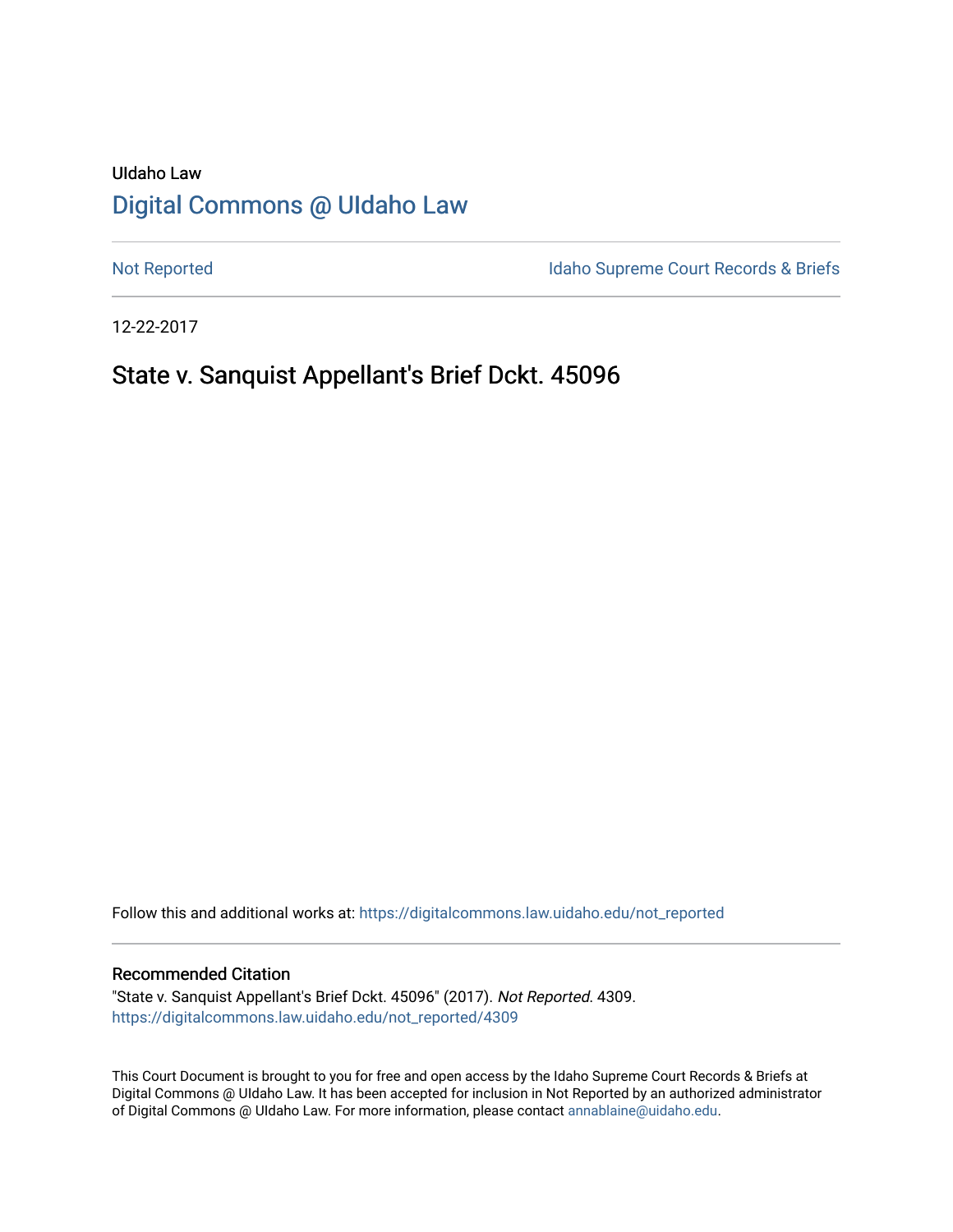# UIdaho Law [Digital Commons @ UIdaho Law](https://digitalcommons.law.uidaho.edu/)

[Not Reported](https://digitalcommons.law.uidaho.edu/not_reported) **Idaho Supreme Court Records & Briefs** 

12-22-2017

# State v. Sanquist Appellant's Brief Dckt. 45096

Follow this and additional works at: [https://digitalcommons.law.uidaho.edu/not\\_reported](https://digitalcommons.law.uidaho.edu/not_reported?utm_source=digitalcommons.law.uidaho.edu%2Fnot_reported%2F4309&utm_medium=PDF&utm_campaign=PDFCoverPages) 

#### Recommended Citation

"State v. Sanquist Appellant's Brief Dckt. 45096" (2017). Not Reported. 4309. [https://digitalcommons.law.uidaho.edu/not\\_reported/4309](https://digitalcommons.law.uidaho.edu/not_reported/4309?utm_source=digitalcommons.law.uidaho.edu%2Fnot_reported%2F4309&utm_medium=PDF&utm_campaign=PDFCoverPages)

This Court Document is brought to you for free and open access by the Idaho Supreme Court Records & Briefs at Digital Commons @ UIdaho Law. It has been accepted for inclusion in Not Reported by an authorized administrator of Digital Commons @ UIdaho Law. For more information, please contact [annablaine@uidaho.edu](mailto:annablaine@uidaho.edu).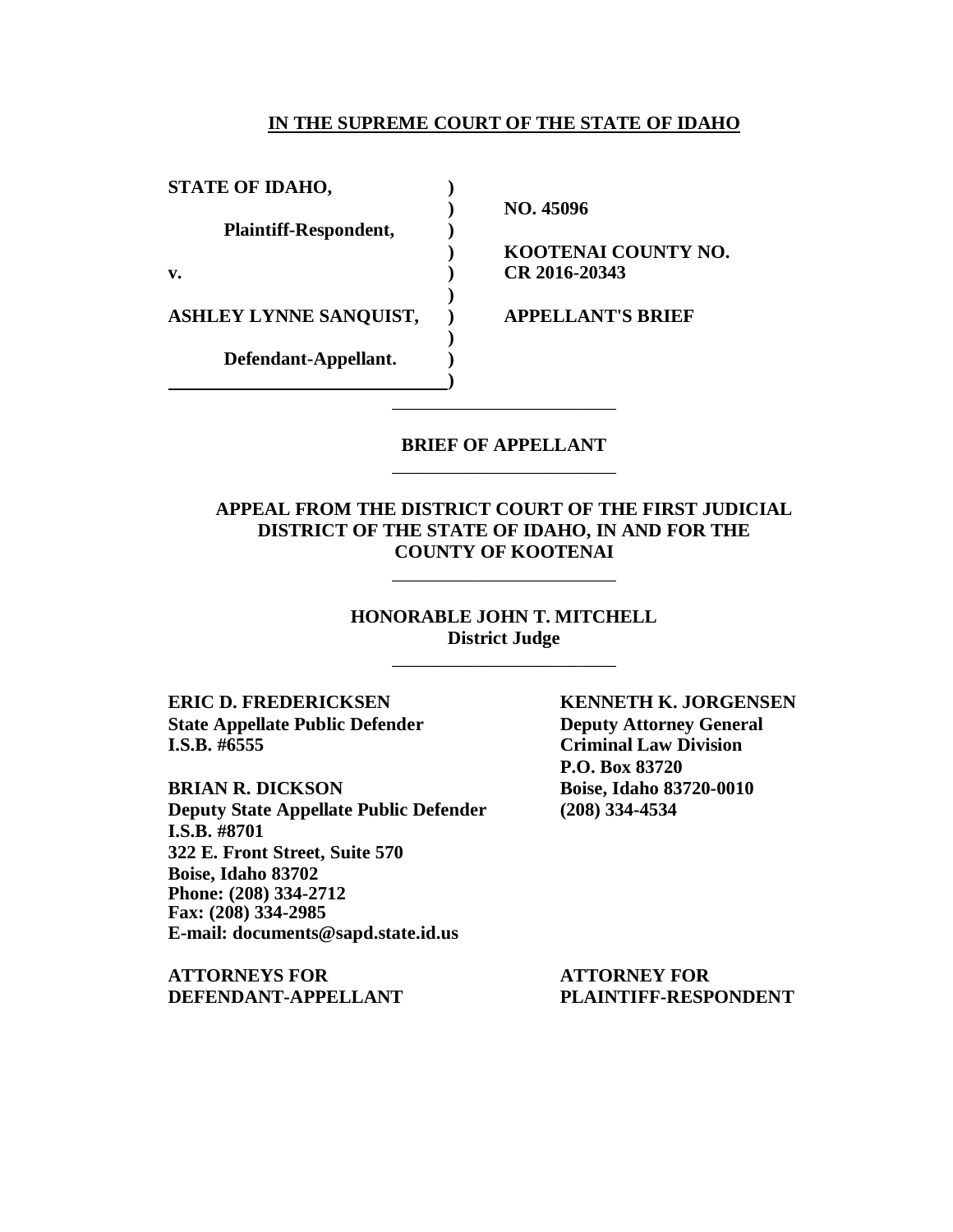#### **IN THE SUPREME COURT OF THE STATE OF IDAHO**

**STATE OF IDAHO, ) Plaintiff-Respondent, ) v. ) CR 2016-20343 ASHLEY LYNNE SANQUIST, ) APPELLANT'S BRIEF Defendant-Appellant. )**

**) NO. 45096**

**) KOOTENAI COUNTY NO.**

### **BRIEF OF APPELLANT** \_\_\_\_\_\_\_\_\_\_\_\_\_\_\_\_\_\_\_\_\_\_\_\_

\_\_\_\_\_\_\_\_\_\_\_\_\_\_\_\_\_\_\_\_\_\_\_\_

**)**

**)**

**)**

### **APPEAL FROM THE DISTRICT COURT OF THE FIRST JUDICIAL DISTRICT OF THE STATE OF IDAHO, IN AND FOR THE COUNTY OF KOOTENAI**

\_\_\_\_\_\_\_\_\_\_\_\_\_\_\_\_\_\_\_\_\_\_\_\_

**HONORABLE JOHN T. MITCHELL District Judge** \_\_\_\_\_\_\_\_\_\_\_\_\_\_\_\_\_\_\_\_\_\_\_\_

**State Appellate Public Defender Deputy Attorney General I.S.B. #6555 Criminal Law Division**

**BRIAN R. DICKSON Boise, Idaho 83720-0010 Deputy State Appellate Public Defender (208) 334-4534 I.S.B. #8701 322 E. Front Street, Suite 570 Boise, Idaho 83702 Phone: (208) 334-2712 Fax: (208) 334-2985 E-mail: documents@sapd.state.id.us**

**ATTORNEYS FOR ATTORNEY FOR DEFENDANT-APPELLANT PLAINTIFF-RESPONDENT**

**ERIC D. FREDERICKSEN KENNETH K. JORGENSEN P.O. Box 83720**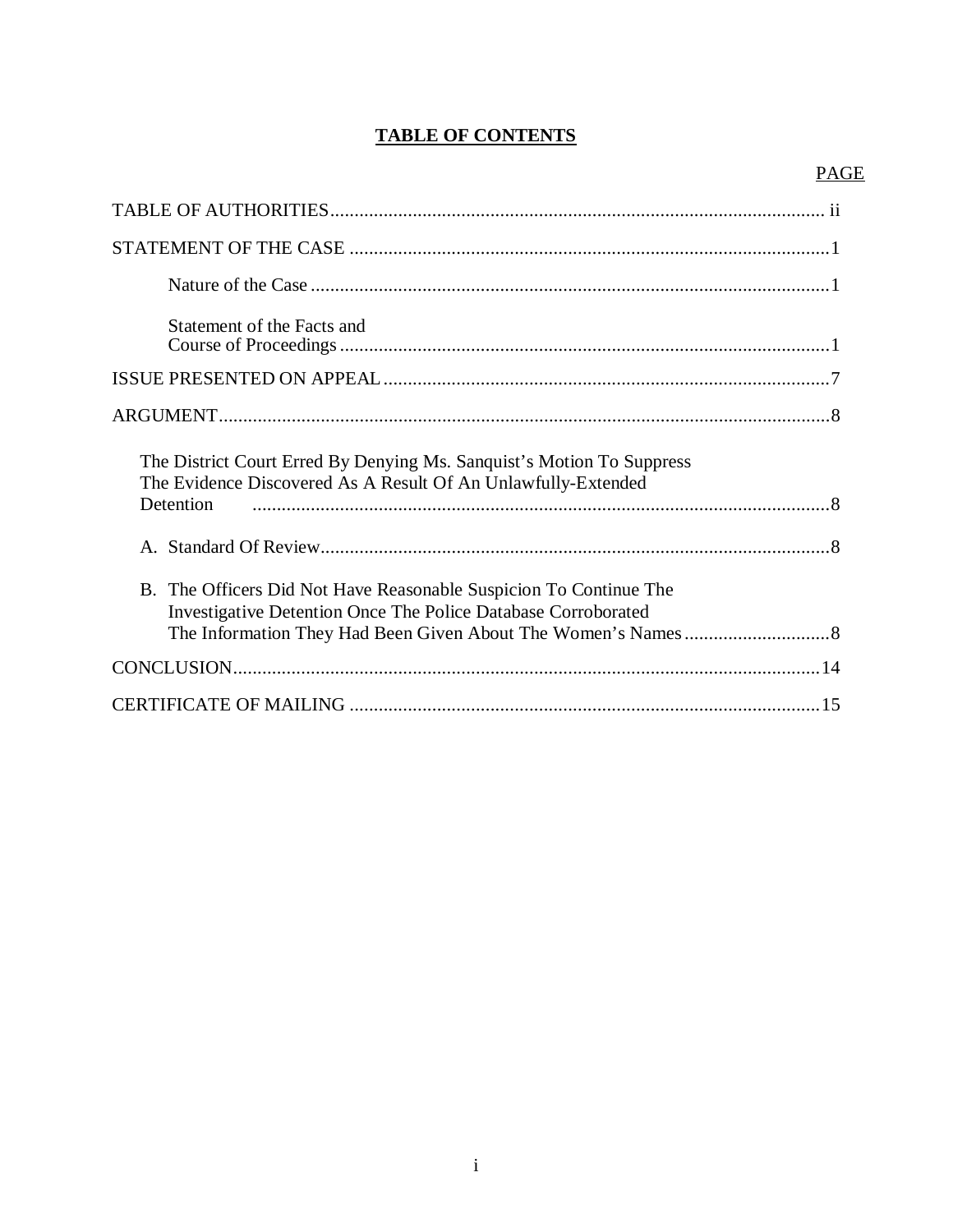# **TABLE OF CONTENTS**

# PAGE

| Statement of the Facts and                                                                                                                          |  |
|-----------------------------------------------------------------------------------------------------------------------------------------------------|--|
|                                                                                                                                                     |  |
|                                                                                                                                                     |  |
| The District Court Erred By Denying Ms. Sanquist's Motion To Suppress<br>The Evidence Discovered As A Result Of An Unlawfully-Extended<br>Detention |  |
|                                                                                                                                                     |  |
| B. The Officers Did Not Have Reasonable Suspicion To Continue The<br>Investigative Detention Once The Police Database Corroborated                  |  |
|                                                                                                                                                     |  |
|                                                                                                                                                     |  |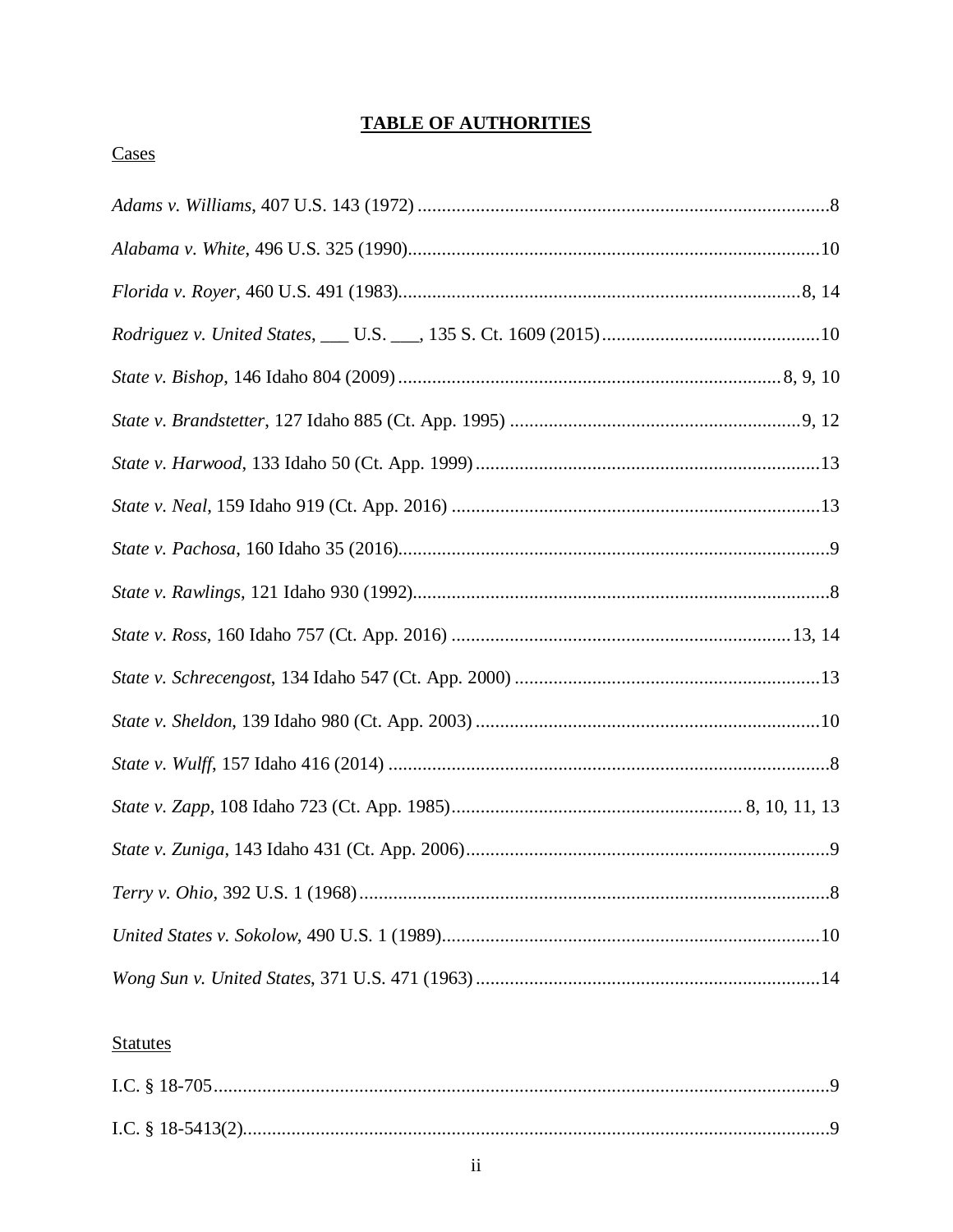# **TABLE OF AUTHORITIES**

## Cases

# **Statutes**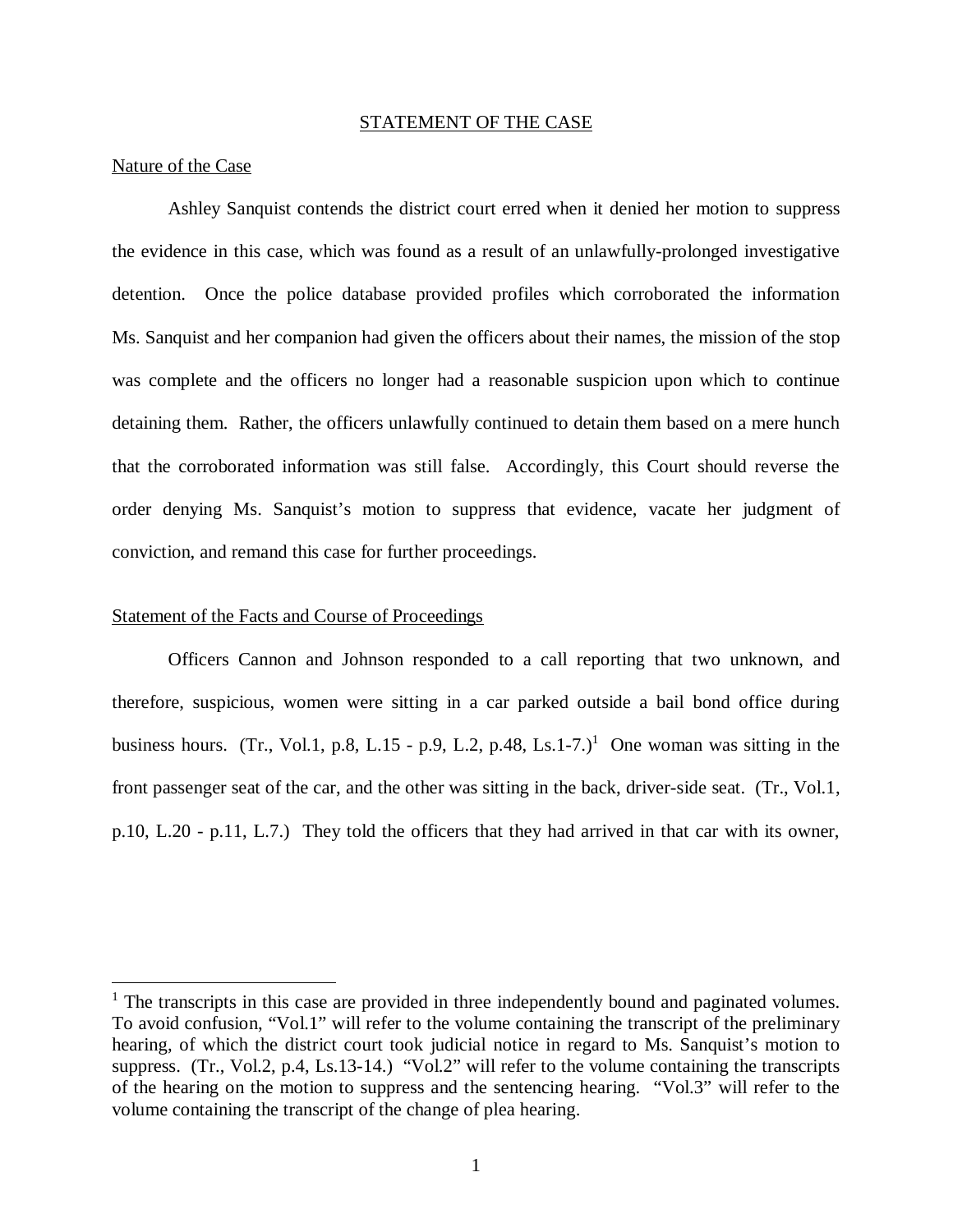#### STATEMENT OF THE CASE

#### Nature of the Case

Ashley Sanquist contends the district court erred when it denied her motion to suppress the evidence in this case, which was found as a result of an unlawfully-prolonged investigative detention. Once the police database provided profiles which corroborated the information Ms. Sanquist and her companion had given the officers about their names, the mission of the stop was complete and the officers no longer had a reasonable suspicion upon which to continue detaining them. Rather, the officers unlawfully continued to detain them based on a mere hunch that the corroborated information was still false. Accordingly, this Court should reverse the order denying Ms. Sanquist's motion to suppress that evidence, vacate her judgment of conviction, and remand this case for further proceedings.

#### Statement of the Facts and Course of Proceedings

Officers Cannon and Johnson responded to a call reporting that two unknown, and therefore, suspicious, women were sitting in a car parked outside a bail bond office during business hours. (Tr., Vol.[1](#page-4-0), p.8, L.15 - p.9, L.2, p.48, Ls.1-7.)<sup>1</sup> One woman was sitting in the front passenger seat of the car, and the other was sitting in the back, driver-side seat. (Tr., Vol.1, p.10, L.20 - p.11, L.7.) They told the officers that they had arrived in that car with its owner,

<span id="page-4-0"></span><sup>&</sup>lt;sup>1</sup> The transcripts in this case are provided in three independently bound and paginated volumes. To avoid confusion, "Vol.1" will refer to the volume containing the transcript of the preliminary hearing, of which the district court took judicial notice in regard to Ms. Sanquist's motion to suppress. (Tr., Vol.2, p.4, Ls.13-14.) "Vol.2" will refer to the volume containing the transcripts of the hearing on the motion to suppress and the sentencing hearing. "Vol.3" will refer to the volume containing the transcript of the change of plea hearing.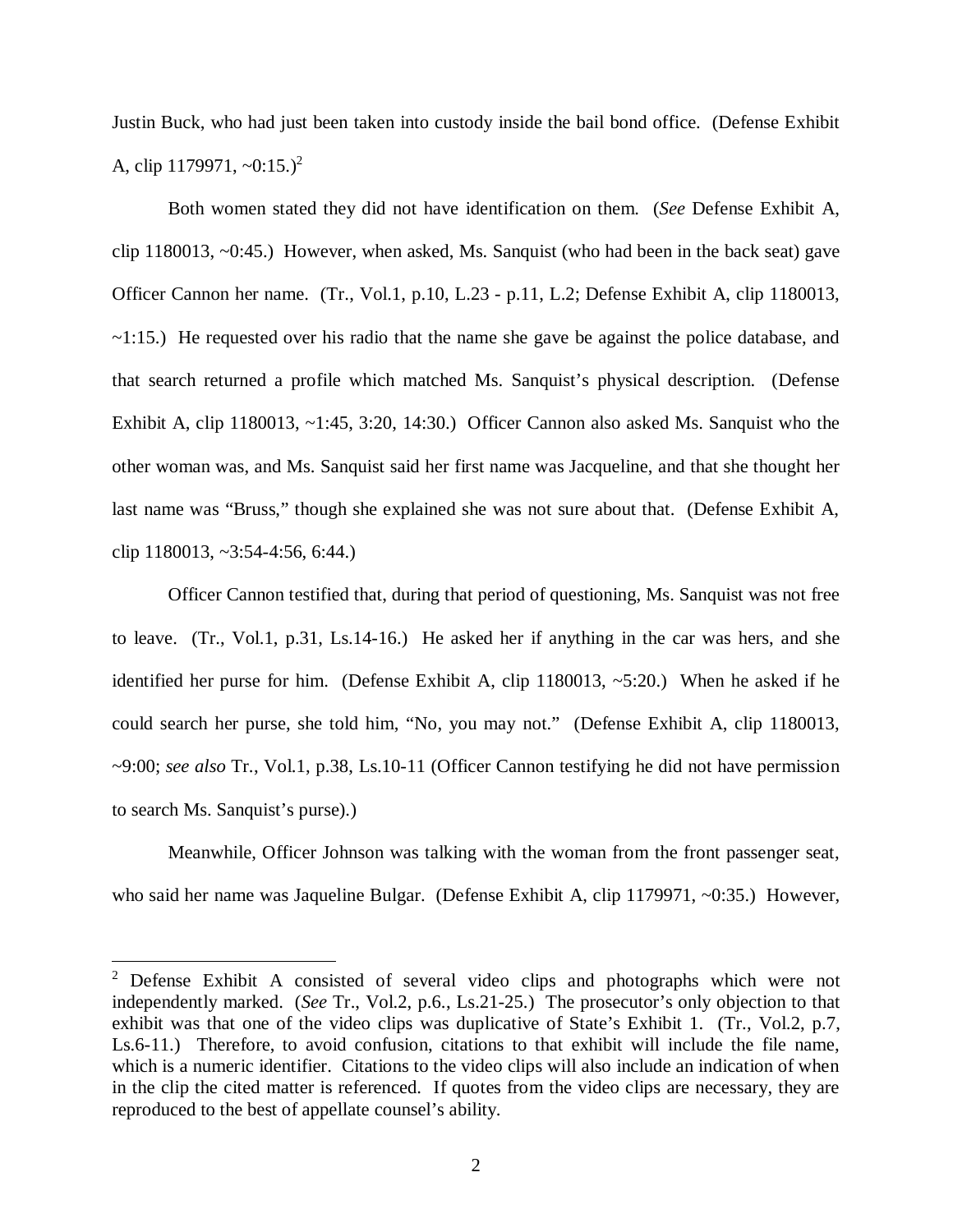Justin Buck, who had just been taken into custody inside the bail bond office. (Defense Exhibit A, clip  $1179971, -0.15.$ <sup>[2](#page-5-0)</sup>

Both women stated they did not have identification on them. (*See* Defense Exhibit A, clip 1180013, ~0:45.) However, when asked, Ms. Sanquist (who had been in the back seat) gave Officer Cannon her name. (Tr., Vol.1, p.10, L.23 - p.11, L.2; Defense Exhibit A, clip 1180013,  $\sim$ 1:15.) He requested over his radio that the name she gave be against the police database, and that search returned a profile which matched Ms. Sanquist's physical description. (Defense Exhibit A, clip 1180013, ~1:45, 3:20, 14:30.) Officer Cannon also asked Ms. Sanquist who the other woman was, and Ms. Sanquist said her first name was Jacqueline, and that she thought her last name was "Bruss," though she explained she was not sure about that. (Defense Exhibit A, clip 1180013, ~3:54-4:56, 6:44.)

Officer Cannon testified that, during that period of questioning, Ms. Sanquist was not free to leave. (Tr., Vol.1, p.31, Ls.14-16.) He asked her if anything in the car was hers, and she identified her purse for him. (Defense Exhibit A, clip 1180013, ~5:20.) When he asked if he could search her purse, she told him, "No, you may not." (Defense Exhibit A, clip 1180013, ~9:00; *see also* Tr., Vol.1, p.38, Ls.10-11 (Officer Cannon testifying he did not have permission to search Ms. Sanquist's purse).)

Meanwhile, Officer Johnson was talking with the woman from the front passenger seat, who said her name was Jaqueline Bulgar. (Defense Exhibit A, clip 1179971, ~0:35.) However,

<span id="page-5-0"></span><sup>&</sup>lt;sup>2</sup> Defense Exhibit A consisted of several video clips and photographs which were not independently marked. (*See* Tr., Vol.2, p.6., Ls.21-25.) The prosecutor's only objection to that exhibit was that one of the video clips was duplicative of State's Exhibit 1. (Tr., Vol.2, p.7, Ls.6-11.) Therefore, to avoid confusion, citations to that exhibit will include the file name, which is a numeric identifier. Citations to the video clips will also include an indication of when in the clip the cited matter is referenced. If quotes from the video clips are necessary, they are reproduced to the best of appellate counsel's ability.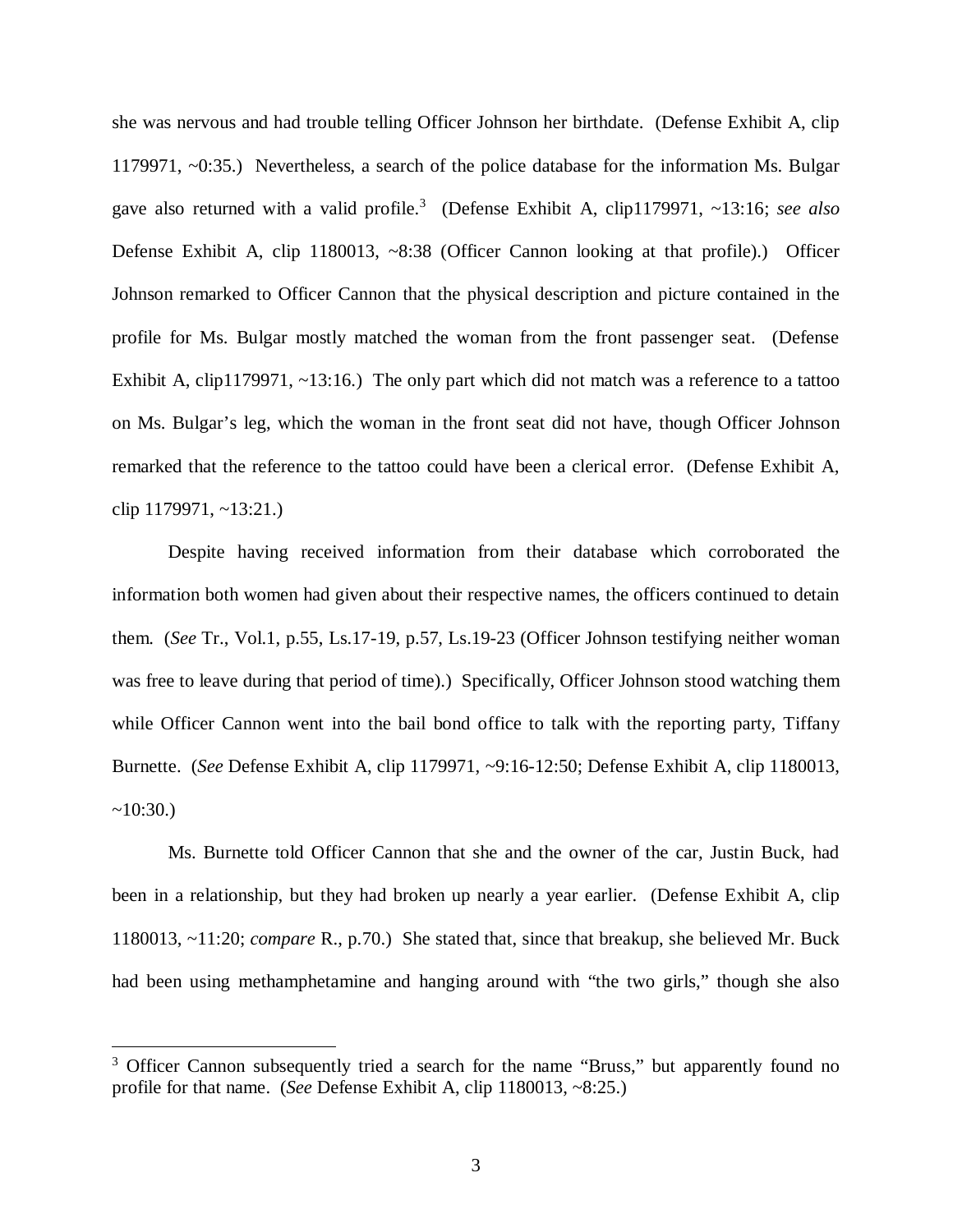she was nervous and had trouble telling Officer Johnson her birthdate. (Defense Exhibit A, clip 1179971, ~0:35.) Nevertheless, a search of the police database for the information Ms. Bulgar gave also returned with a valid profile.<sup>[3](#page-6-0)</sup> (Defense Exhibit A, clip1179971, ~13:16; *see also* Defense Exhibit A, clip 1180013, ~8:38 (Officer Cannon looking at that profile).) Officer Johnson remarked to Officer Cannon that the physical description and picture contained in the profile for Ms. Bulgar mostly matched the woman from the front passenger seat. (Defense Exhibit A, clip1179971, ~13:16.) The only part which did not match was a reference to a tattoo on Ms. Bulgar's leg, which the woman in the front seat did not have, though Officer Johnson remarked that the reference to the tattoo could have been a clerical error. (Defense Exhibit A, clip 1179971, ~13:21.)

Despite having received information from their database which corroborated the information both women had given about their respective names, the officers continued to detain them. (*See* Tr., Vol.1, p.55, Ls.17-19, p.57, Ls.19-23 (Officer Johnson testifying neither woman was free to leave during that period of time).) Specifically, Officer Johnson stood watching them while Officer Cannon went into the bail bond office to talk with the reporting party, Tiffany Burnette. (*See* Defense Exhibit A, clip 1179971, ~9:16-12:50; Defense Exhibit A, clip 1180013,  $~10:30.$ 

Ms. Burnette told Officer Cannon that she and the owner of the car, Justin Buck, had been in a relationship, but they had broken up nearly a year earlier. (Defense Exhibit A, clip 1180013, ~11:20; *compare* R., p.70.) She stated that, since that breakup, she believed Mr. Buck had been using methamphetamine and hanging around with "the two girls," though she also

<span id="page-6-0"></span><sup>&</sup>lt;sup>3</sup> Officer Cannon subsequently tried a search for the name "Bruss," but apparently found no profile for that name. (*See* Defense Exhibit A, clip 1180013, ~8:25.)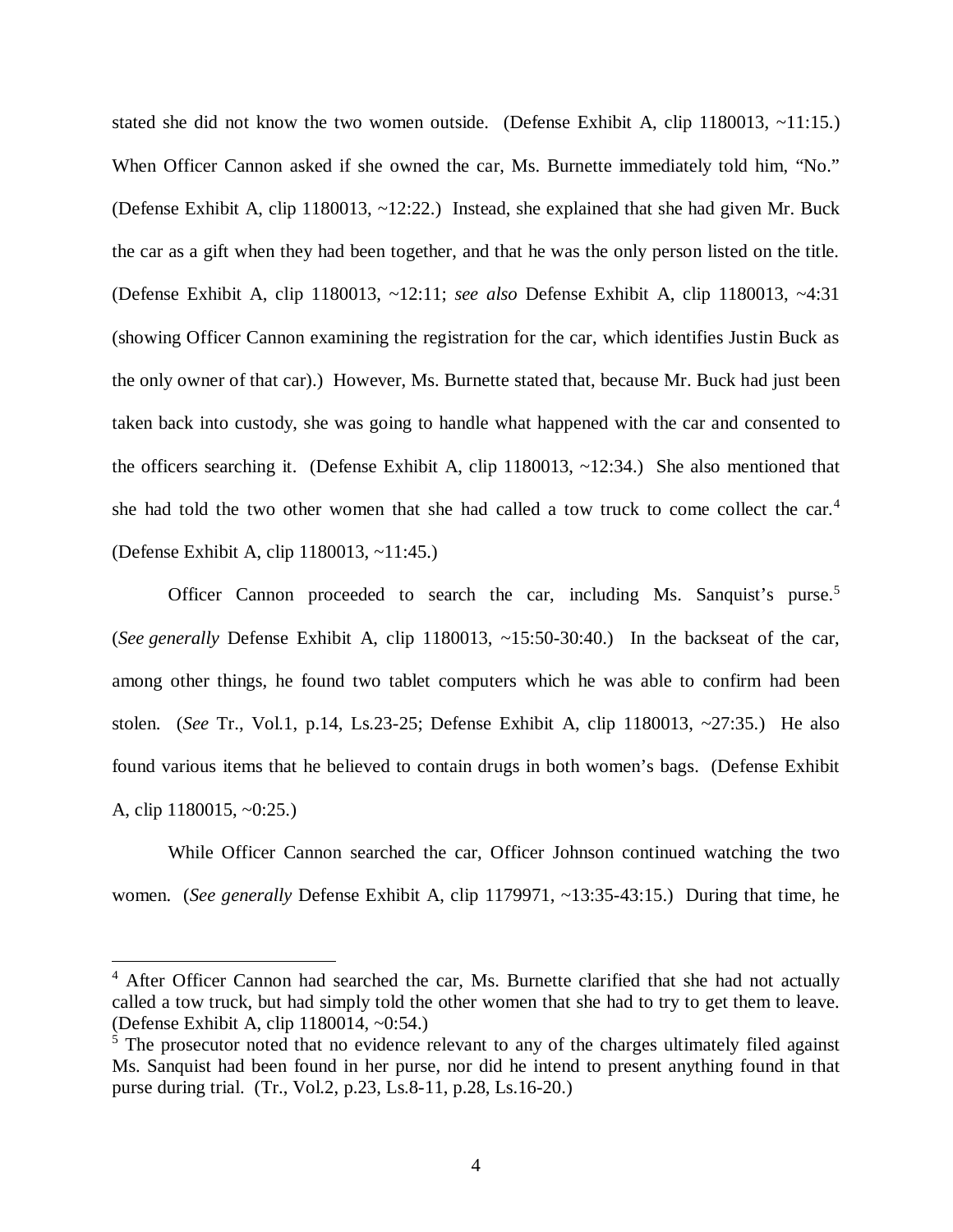stated she did not know the two women outside. (Defense Exhibit A, clip 1180013,  $\sim$ 11:15.) When Officer Cannon asked if she owned the car, Ms. Burnette immediately told him, "No." (Defense Exhibit A, clip 1180013, ~12:22.) Instead, she explained that she had given Mr. Buck the car as a gift when they had been together, and that he was the only person listed on the title. (Defense Exhibit A, clip 1180013, ~12:11; *see also* Defense Exhibit A, clip 1180013, ~4:31 (showing Officer Cannon examining the registration for the car, which identifies Justin Buck as the only owner of that car).) However, Ms. Burnette stated that, because Mr. Buck had just been taken back into custody, she was going to handle what happened with the car and consented to the officers searching it. (Defense Exhibit A, clip 1180013, ~12:34.) She also mentioned that she had told the two other women that she had called a tow truck to come collect the car.[4](#page-7-0) (Defense Exhibit A, clip 1180013, ~11:45.)

Officer Cannon proceeded to search the car, including Ms. Sanquist's purse.<sup>[5](#page-7-1)</sup> (*See generally* Defense Exhibit A, clip 1180013, ~15:50-30:40.) In the backseat of the car, among other things, he found two tablet computers which he was able to confirm had been stolen. (*See* Tr., Vol.1, p.14, Ls.23-25; Defense Exhibit A, clip 1180013, ~27:35.) He also found various items that he believed to contain drugs in both women's bags. (Defense Exhibit A, clip 1180015, ~0:25.)

While Officer Cannon searched the car, Officer Johnson continued watching the two women. (*See generally* Defense Exhibit A, clip 1179971, ~13:35-43:15.) During that time, he

<span id="page-7-0"></span><sup>&</sup>lt;sup>4</sup> After Officer Cannon had searched the car, Ms. Burnette clarified that she had not actually called a tow truck, but had simply told the other women that she had to try to get them to leave. (Defense Exhibit A, clip 1180014, ~0:54.)

<span id="page-7-1"></span><sup>&</sup>lt;sup>5</sup> The prosecutor noted that no evidence relevant to any of the charges ultimately filed against Ms. Sanquist had been found in her purse, nor did he intend to present anything found in that purse during trial. (Tr., Vol.2, p.23, Ls.8-11, p.28, Ls.16-20.)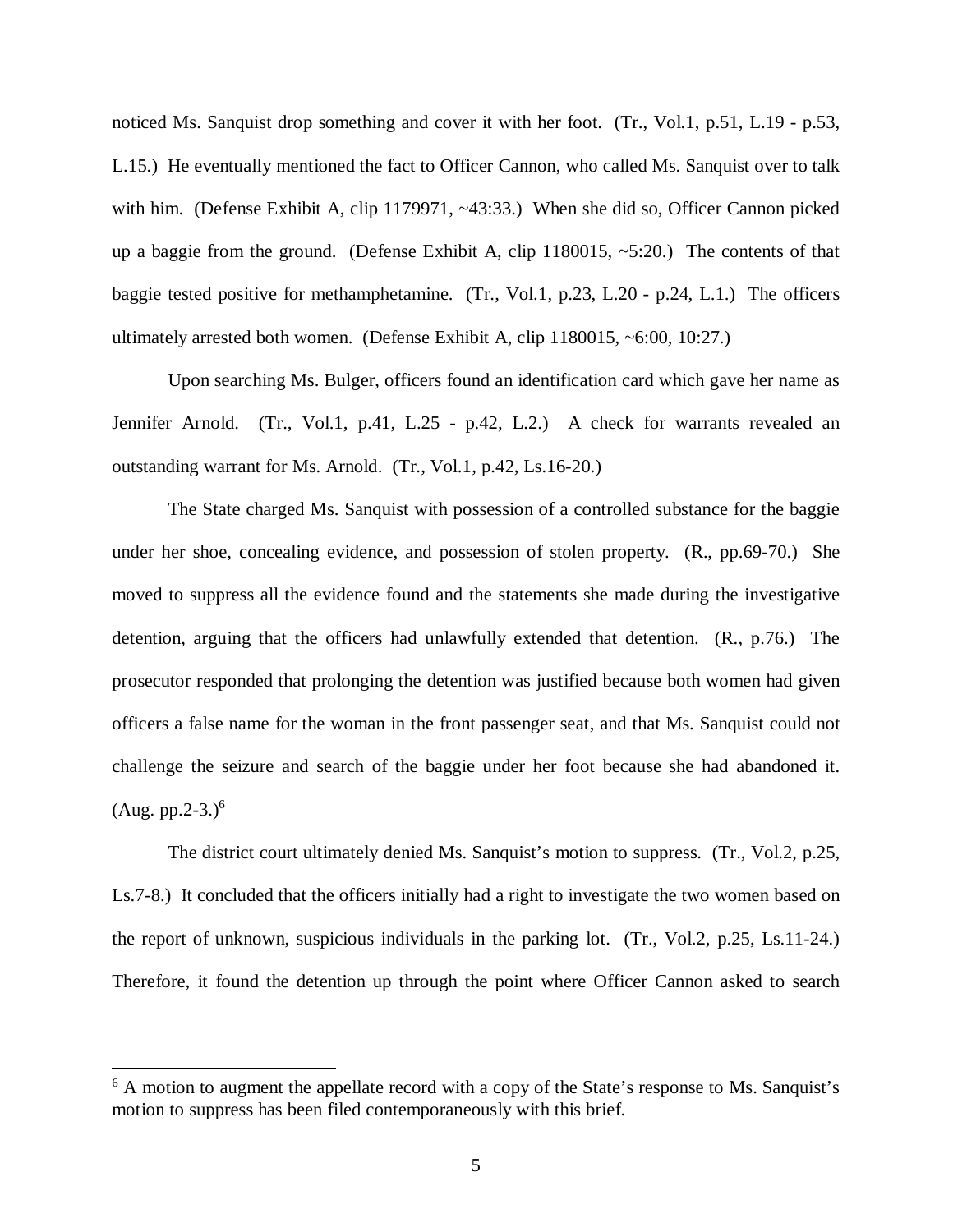noticed Ms. Sanquist drop something and cover it with her foot. (Tr., Vol.1, p.51, L.19 - p.53, L.15.) He eventually mentioned the fact to Officer Cannon, who called Ms. Sanquist over to talk with him. (Defense Exhibit A, clip 1179971, ~43:33.) When she did so, Officer Cannon picked up a baggie from the ground. (Defense Exhibit A, clip  $1180015$ ,  $\sim$  5:20.) The contents of that baggie tested positive for methamphetamine. (Tr., Vol.1, p.23, L.20 - p.24, L.1.) The officers ultimately arrested both women. (Defense Exhibit A, clip 1180015, ~6:00, 10:27.)

Upon searching Ms. Bulger, officers found an identification card which gave her name as Jennifer Arnold. (Tr., Vol.1, p.41, L.25 - p.42, L.2.) A check for warrants revealed an outstanding warrant for Ms. Arnold. (Tr., Vol.1, p.42, Ls.16-20.)

The State charged Ms. Sanquist with possession of a controlled substance for the baggie under her shoe, concealing evidence, and possession of stolen property. (R., pp.69-70.) She moved to suppress all the evidence found and the statements she made during the investigative detention, arguing that the officers had unlawfully extended that detention. (R., p.76.) The prosecutor responded that prolonging the detention was justified because both women had given officers a false name for the woman in the front passenger seat, and that Ms. Sanquist could not challenge the seizure and search of the baggie under her foot because she had abandoned it.  $(Aug. pp.2-3.)^6$  $(Aug. pp.2-3.)^6$ 

The district court ultimately denied Ms. Sanquist's motion to suppress. (Tr., Vol.2, p.25, Ls.7-8.) It concluded that the officers initially had a right to investigate the two women based on the report of unknown, suspicious individuals in the parking lot. (Tr., Vol.2, p.25, Ls.11-24.) Therefore, it found the detention up through the point where Officer Cannon asked to search

<span id="page-8-0"></span><sup>&</sup>lt;sup>6</sup> A motion to augment the appellate record with a copy of the State's response to Ms. Sanquist's motion to suppress has been filed contemporaneously with this brief.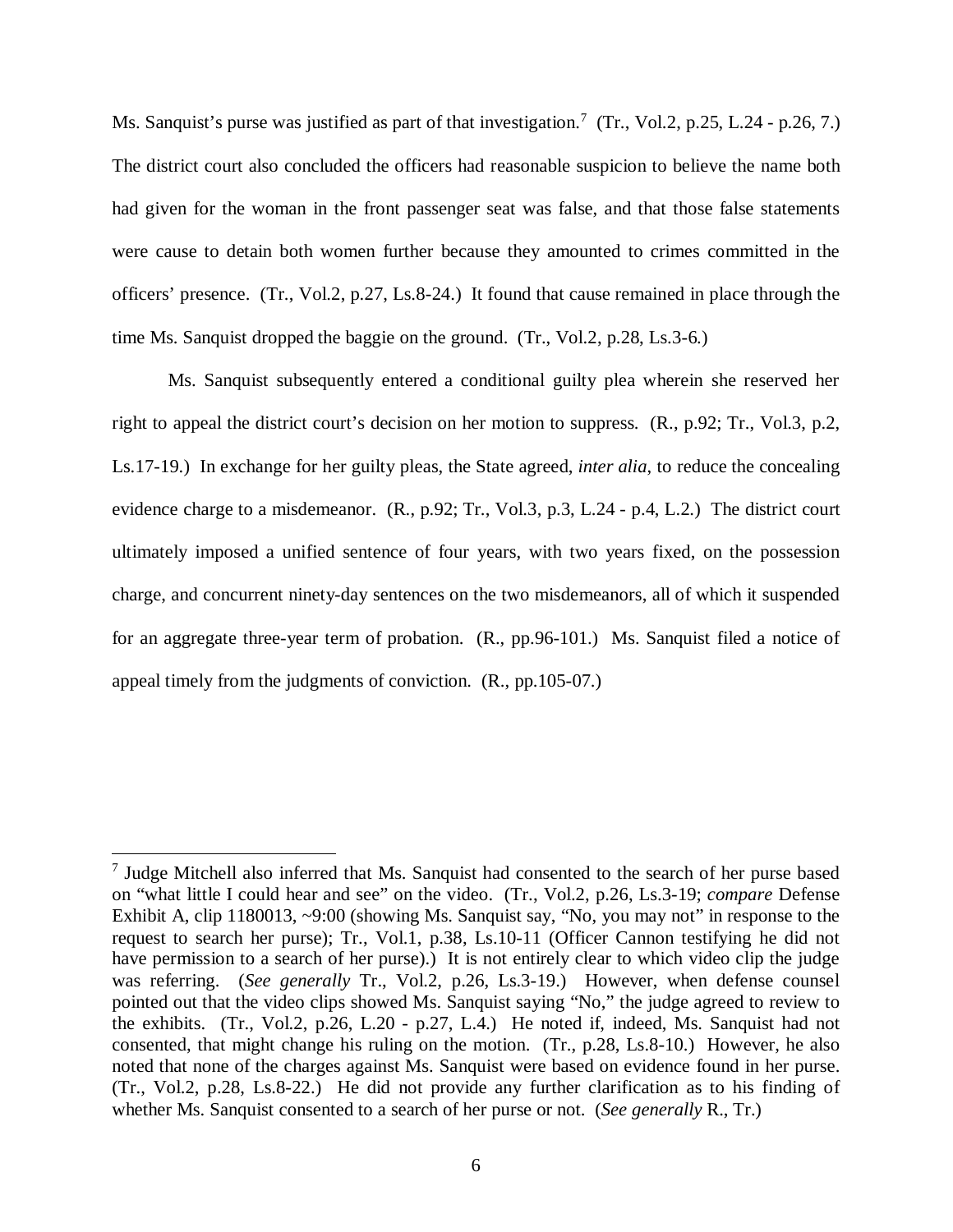Ms. Sanquist's purse was justified as part of that investigation.<sup>[7](#page-9-0)</sup> (Tr., Vol.2, p.25, L.24 - p.26, 7.) The district court also concluded the officers had reasonable suspicion to believe the name both had given for the woman in the front passenger seat was false, and that those false statements were cause to detain both women further because they amounted to crimes committed in the officers' presence. (Tr., Vol.2, p.27, Ls.8-24.) It found that cause remained in place through the time Ms. Sanquist dropped the baggie on the ground. (Tr., Vol.2, p.28, Ls.3-6.)

Ms. Sanquist subsequently entered a conditional guilty plea wherein she reserved her right to appeal the district court's decision on her motion to suppress. (R., p.92; Tr., Vol.3, p.2, Ls.17-19.) In exchange for her guilty pleas, the State agreed, *inter alia*, to reduce the concealing evidence charge to a misdemeanor. (R., p.92; Tr., Vol.3, p.3, L.24 - p.4, L.2.) The district court ultimately imposed a unified sentence of four years, with two years fixed, on the possession charge, and concurrent ninety-day sentences on the two misdemeanors, all of which it suspended for an aggregate three-year term of probation. (R., pp.96-101.) Ms. Sanquist filed a notice of appeal timely from the judgments of conviction. (R., pp.105-07.)

<span id="page-9-0"></span><sup>&</sup>lt;sup>7</sup> Judge Mitchell also inferred that Ms. Sanquist had consented to the search of her purse based on "what little I could hear and see" on the video. (Tr., Vol.2, p.26, Ls.3-19; *compare* Defense Exhibit A, clip 1180013, ~9:00 (showing Ms. Sanquist say, "No, you may not" in response to the request to search her purse); Tr., Vol.1, p.38, Ls.10-11 (Officer Cannon testifying he did not have permission to a search of her purse).) It is not entirely clear to which video clip the judge was referring. (*See generally* Tr., Vol.2, p.26, Ls.3-19.) However, when defense counsel pointed out that the video clips showed Ms. Sanquist saying "No," the judge agreed to review to the exhibits. (Tr., Vol.2, p.26, L.20 - p.27, L.4.) He noted if, indeed, Ms. Sanquist had not consented, that might change his ruling on the motion. (Tr., p.28, Ls.8-10.) However, he also noted that none of the charges against Ms. Sanquist were based on evidence found in her purse. (Tr., Vol.2, p.28, Ls.8-22.) He did not provide any further clarification as to his finding of whether Ms. Sanquist consented to a search of her purse or not. (*See generally* R., Tr.)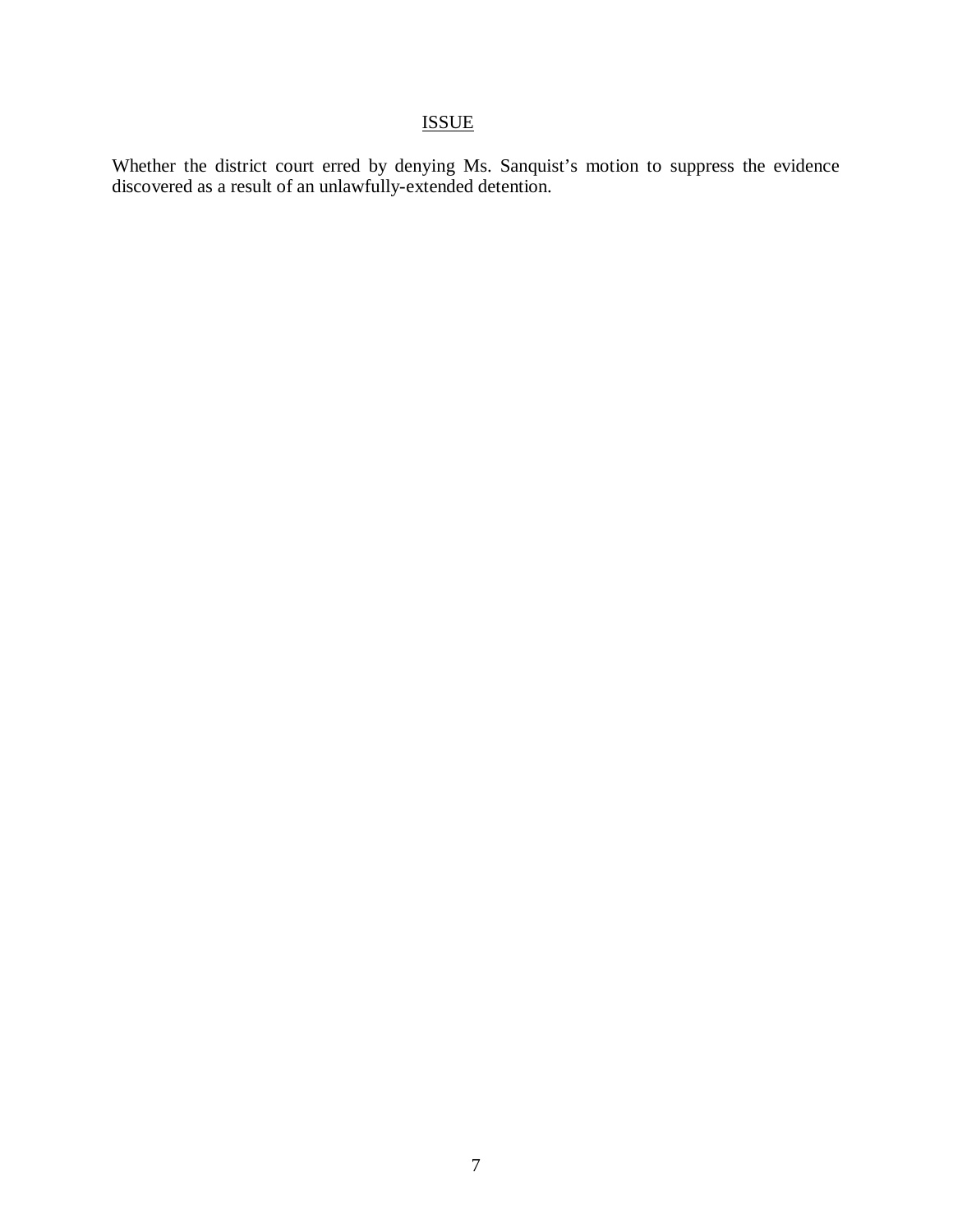# ISSUE

Whether the district court erred by denying Ms. Sanquist's motion to suppress the evidence discovered as a result of an unlawfully-extended detention.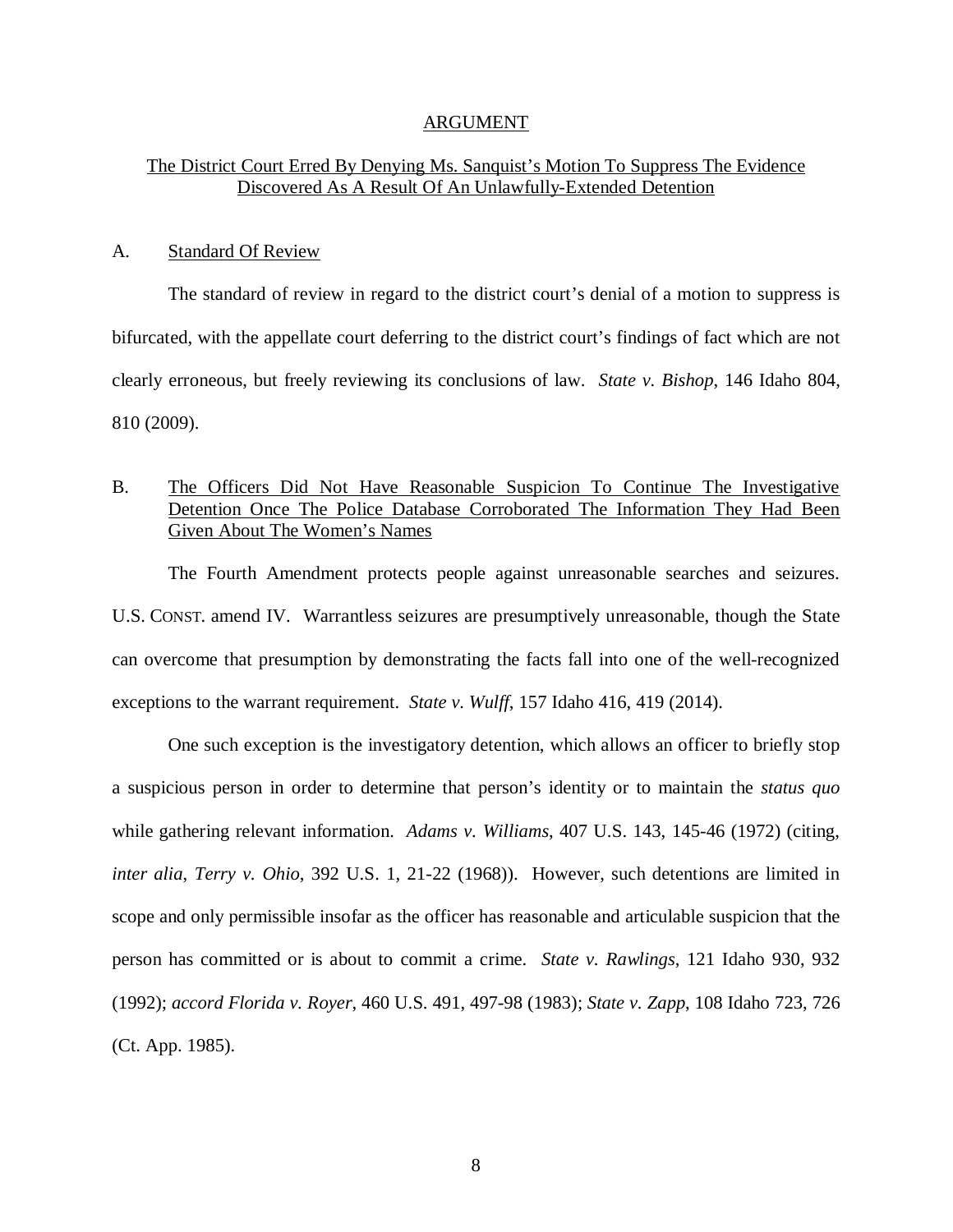#### ARGUMENT

### The District Court Erred By Denying Ms. Sanquist's Motion To Suppress The Evidence Discovered As A Result Of An Unlawfully-Extended Detention

#### A. Standard Of Review

The standard of review in regard to the district court's denial of a motion to suppress is bifurcated, with the appellate court deferring to the district court's findings of fact which are not clearly erroneous, but freely reviewing its conclusions of law. *State v. Bishop*, 146 Idaho 804, 810 (2009).

### B. The Officers Did Not Have Reasonable Suspicion To Continue The Investigative Detention Once The Police Database Corroborated The Information They Had Been Given About The Women's Names

The Fourth Amendment protects people against unreasonable searches and seizures. U.S. CONST. amend IV. Warrantless seizures are presumptively unreasonable, though the State can overcome that presumption by demonstrating the facts fall into one of the well-recognized exceptions to the warrant requirement. *State v. Wulff*, 157 Idaho 416, 419 (2014).

One such exception is the investigatory detention, which allows an officer to briefly stop a suspicious person in order to determine that person's identity or to maintain the *status quo* while gathering relevant information. *Adams v. Williams*, 407 U.S. 143, 145-46 (1972) (citing, *inter alia*, *Terry v. Ohio*, 392 U.S. 1, 21-22 (1968)). However, such detentions are limited in scope and only permissible insofar as the officer has reasonable and articulable suspicion that the person has committed or is about to commit a crime. *State v. Rawlings*, 121 Idaho 930, 932 (1992); *accord Florida v. Royer*, 460 U.S. 491, 497-98 (1983); *State v. Zapp*, 108 Idaho 723, 726 (Ct. App. 1985).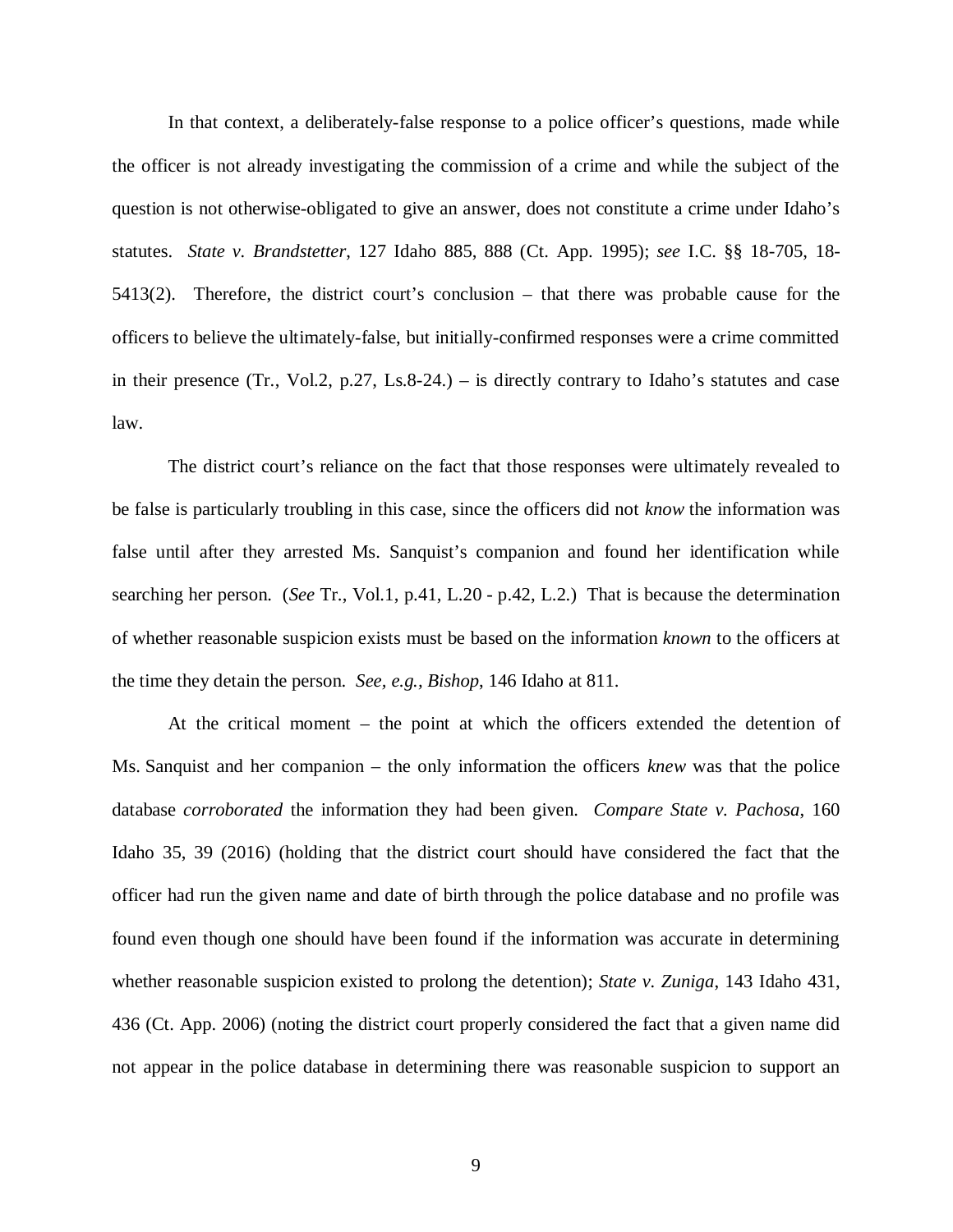In that context, a deliberately-false response to a police officer's questions, made while the officer is not already investigating the commission of a crime and while the subject of the question is not otherwise-obligated to give an answer, does not constitute a crime under Idaho's statutes. *State v. Brandstetter*, 127 Idaho 885, 888 (Ct. App. 1995); *see* I.C. §§ 18-705, 18- 5413(2). Therefore, the district court's conclusion – that there was probable cause for the officers to believe the ultimately-false, but initially-confirmed responses were a crime committed in their presence (Tr., Vol.2, p.27, Ls.8-24.) – is directly contrary to Idaho's statutes and case law.

The district court's reliance on the fact that those responses were ultimately revealed to be false is particularly troubling in this case, since the officers did not *know* the information was false until after they arrested Ms. Sanquist's companion and found her identification while searching her person. (*See* Tr., Vol.1, p.41, L.20 - p.42, L.2.) That is because the determination of whether reasonable suspicion exists must be based on the information *known* to the officers at the time they detain the person. *See, e.g., Bishop*, 146 Idaho at 811.

At the critical moment – the point at which the officers extended the detention of Ms. Sanquist and her companion – the only information the officers *knew* was that the police database *corroborated* the information they had been given. *Compare State v. Pachosa*, 160 Idaho 35, 39 (2016) (holding that the district court should have considered the fact that the officer had run the given name and date of birth through the police database and no profile was found even though one should have been found if the information was accurate in determining whether reasonable suspicion existed to prolong the detention); *State v. Zuniga*, 143 Idaho 431, 436 (Ct. App. 2006) (noting the district court properly considered the fact that a given name did not appear in the police database in determining there was reasonable suspicion to support an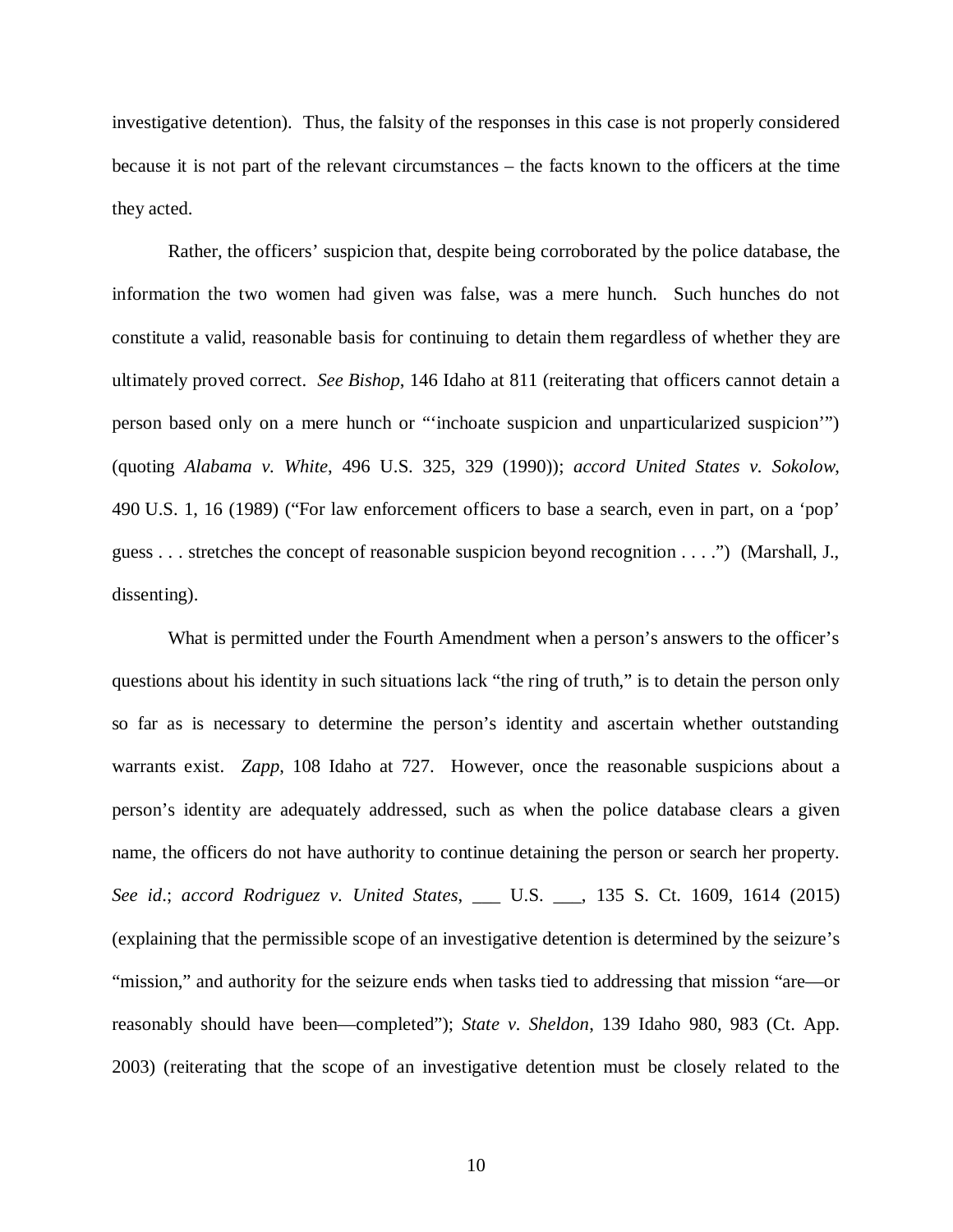investigative detention). Thus, the falsity of the responses in this case is not properly considered because it is not part of the relevant circumstances – the facts known to the officers at the time they acted.

Rather, the officers' suspicion that, despite being corroborated by the police database, the information the two women had given was false, was a mere hunch. Such hunches do not constitute a valid, reasonable basis for continuing to detain them regardless of whether they are ultimately proved correct. *See Bishop*, 146 Idaho at 811 (reiterating that officers cannot detain a person based only on a mere hunch or "'inchoate suspicion and unparticularized suspicion'") (quoting *Alabama v. White*, 496 U.S. 325, 329 (1990)); *accord United States v. Sokolow*, 490 U.S. 1, 16 (1989) ("For law enforcement officers to base a search, even in part, on a 'pop' guess . . . stretches the concept of reasonable suspicion beyond recognition . . . .") (Marshall, J., dissenting).

What is permitted under the Fourth Amendment when a person's answers to the officer's questions about his identity in such situations lack "the ring of truth," is to detain the person only so far as is necessary to determine the person's identity and ascertain whether outstanding warrants exist. *Zapp*, 108 Idaho at 727. However, once the reasonable suspicions about a person's identity are adequately addressed, such as when the police database clears a given name, the officers do not have authority to continue detaining the person or search her property. *See id*.; *accord Rodriguez v. United States*, \_\_\_ U.S. \_\_\_, 135 S. Ct. 1609, 1614 (2015) (explaining that the permissible scope of an investigative detention is determined by the seizure's "mission," and authority for the seizure ends when tasks tied to addressing that mission "are—or reasonably should have been—completed"); *State v. Sheldon*, 139 Idaho 980, 983 (Ct. App. 2003) (reiterating that the scope of an investigative detention must be closely related to the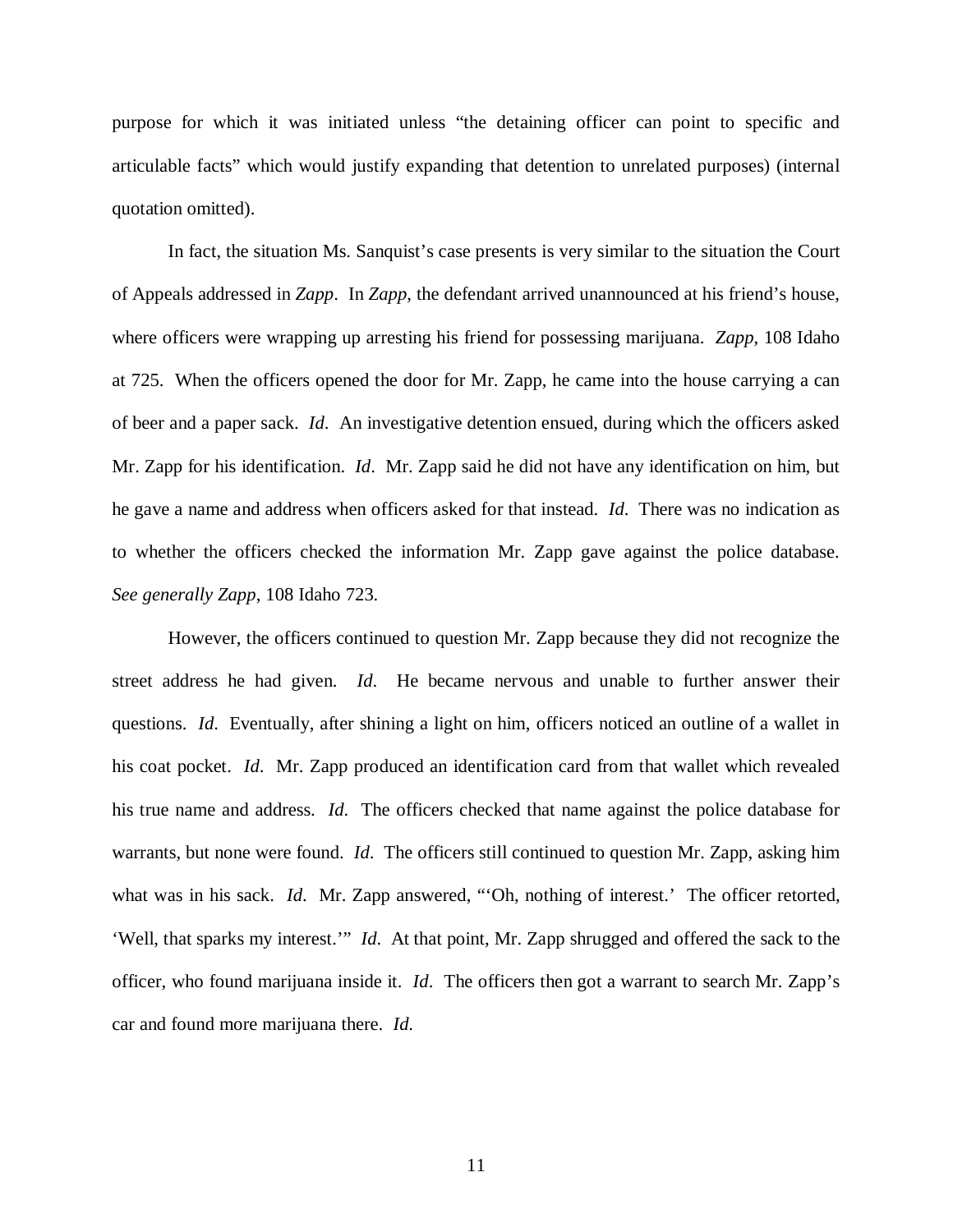purpose for which it was initiated unless "the detaining officer can point to specific and articulable facts" which would justify expanding that detention to unrelated purposes) (internal quotation omitted).

In fact, the situation Ms. Sanquist's case presents is very similar to the situation the Court of Appeals addressed in *Zapp*. In *Zapp*, the defendant arrived unannounced at his friend's house, where officers were wrapping up arresting his friend for possessing marijuana. *Zapp*, 108 Idaho at 725. When the officers opened the door for Mr. Zapp, he came into the house carrying a can of beer and a paper sack. *Id*. An investigative detention ensued, during which the officers asked Mr. Zapp for his identification. *Id*. Mr. Zapp said he did not have any identification on him, but he gave a name and address when officers asked for that instead. *Id*. There was no indication as to whether the officers checked the information Mr. Zapp gave against the police database. *See generally Zapp*, 108 Idaho 723.

However, the officers continued to question Mr. Zapp because they did not recognize the street address he had given. *Id*. He became nervous and unable to further answer their questions. *Id*. Eventually, after shining a light on him, officers noticed an outline of a wallet in his coat pocket. *Id*. Mr. Zapp produced an identification card from that wallet which revealed his true name and address. *Id*. The officers checked that name against the police database for warrants, but none were found. *Id*. The officers still continued to question Mr. Zapp, asking him what was in his sack. *Id.* Mr. Zapp answered, "Oh, nothing of interest.' The officer retorted, 'Well, that sparks my interest.'" *Id*. At that point, Mr. Zapp shrugged and offered the sack to the officer, who found marijuana inside it. *Id*. The officers then got a warrant to search Mr. Zapp's car and found more marijuana there. *Id*.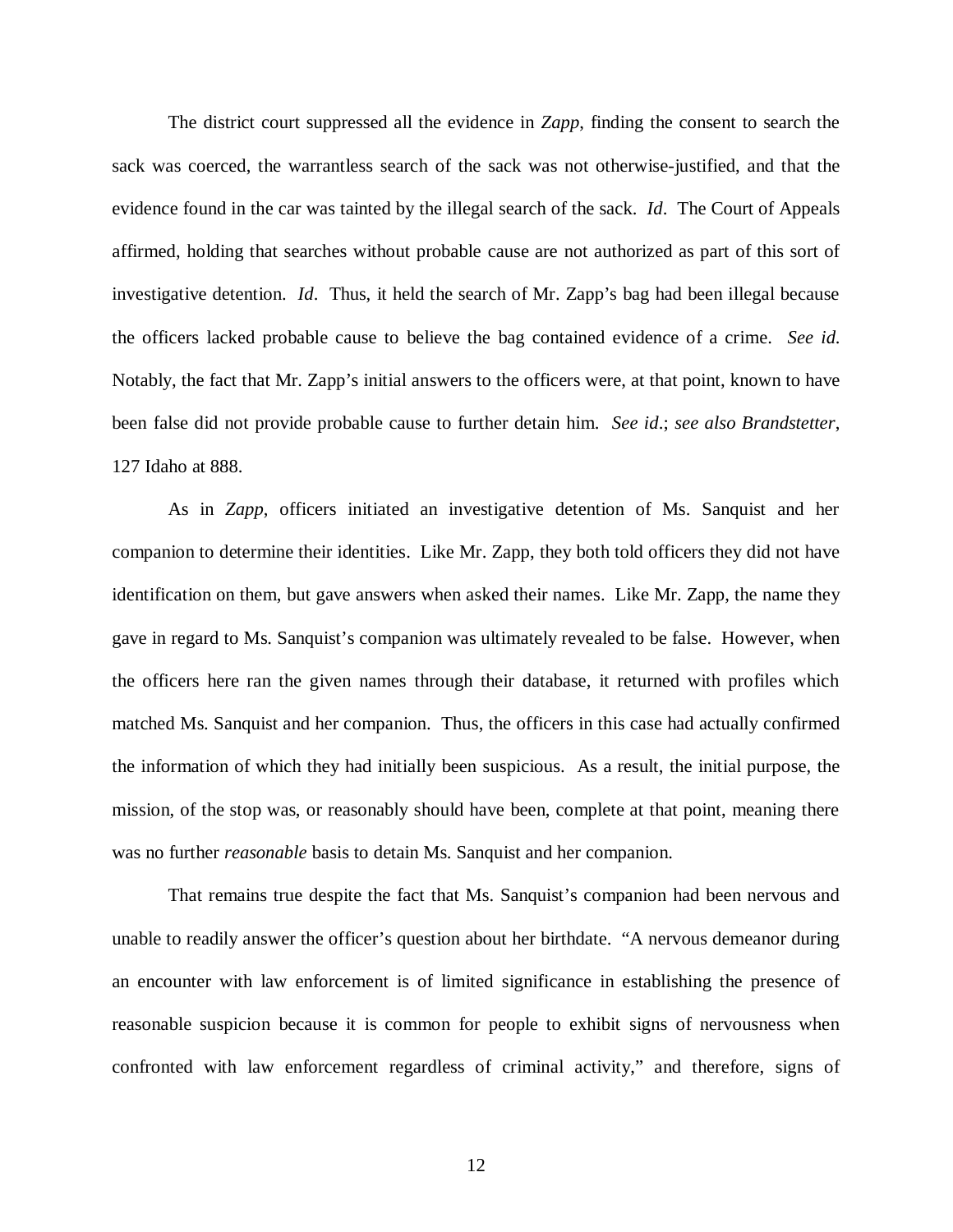The district court suppressed all the evidence in *Zapp*, finding the consent to search the sack was coerced, the warrantless search of the sack was not otherwise-justified, and that the evidence found in the car was tainted by the illegal search of the sack. *Id*. The Court of Appeals affirmed, holding that searches without probable cause are not authorized as part of this sort of investigative detention. *Id*. Thus, it held the search of Mr. Zapp's bag had been illegal because the officers lacked probable cause to believe the bag contained evidence of a crime. *See id*. Notably, the fact that Mr. Zapp's initial answers to the officers were, at that point, known to have been false did not provide probable cause to further detain him. *See id*.; *see also Brandstetter*, 127 Idaho at 888.

As in *Zapp*, officers initiated an investigative detention of Ms. Sanquist and her companion to determine their identities. Like Mr. Zapp, they both told officers they did not have identification on them, but gave answers when asked their names. Like Mr. Zapp, the name they gave in regard to Ms. Sanquist's companion was ultimately revealed to be false. However, when the officers here ran the given names through their database, it returned with profiles which matched Ms. Sanquist and her companion. Thus, the officers in this case had actually confirmed the information of which they had initially been suspicious. As a result, the initial purpose, the mission, of the stop was, or reasonably should have been, complete at that point, meaning there was no further *reasonable* basis to detain Ms. Sanquist and her companion.

That remains true despite the fact that Ms. Sanquist's companion had been nervous and unable to readily answer the officer's question about her birthdate. "A nervous demeanor during an encounter with law enforcement is of limited significance in establishing the presence of reasonable suspicion because it is common for people to exhibit signs of nervousness when confronted with law enforcement regardless of criminal activity," and therefore, signs of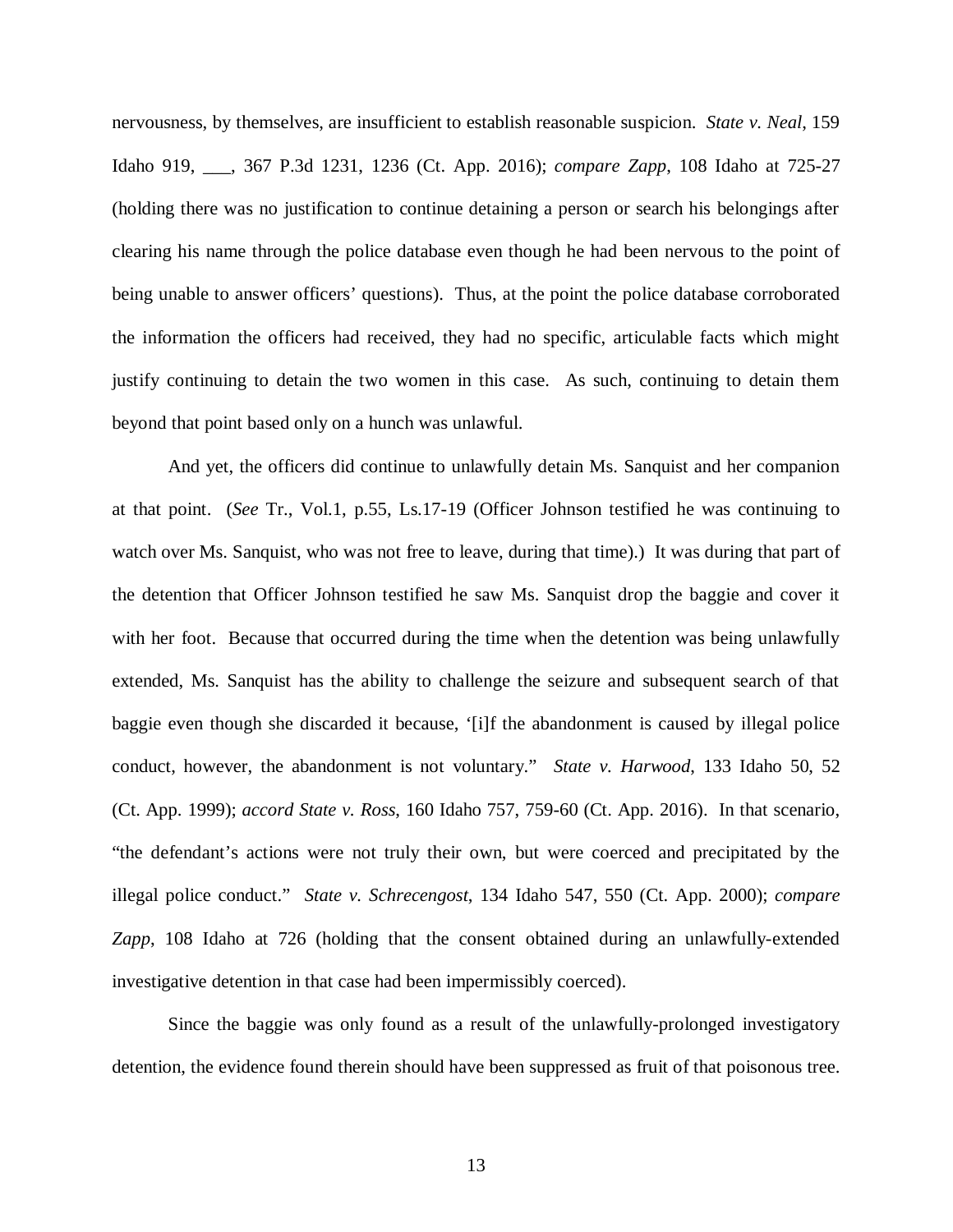nervousness, by themselves, are insufficient to establish reasonable suspicion. *State v. Neal*, 159 Idaho 919, \_\_\_, 367 P.3d 1231, 1236 (Ct. App. 2016); *compare Zapp*, 108 Idaho at 725-27 (holding there was no justification to continue detaining a person or search his belongings after clearing his name through the police database even though he had been nervous to the point of being unable to answer officers' questions). Thus, at the point the police database corroborated the information the officers had received, they had no specific, articulable facts which might justify continuing to detain the two women in this case. As such, continuing to detain them beyond that point based only on a hunch was unlawful.

And yet, the officers did continue to unlawfully detain Ms. Sanquist and her companion at that point. (*See* Tr., Vol.1, p.55, Ls.17-19 (Officer Johnson testified he was continuing to watch over Ms. Sanquist, who was not free to leave, during that time).) It was during that part of the detention that Officer Johnson testified he saw Ms. Sanquist drop the baggie and cover it with her foot. Because that occurred during the time when the detention was being unlawfully extended, Ms. Sanquist has the ability to challenge the seizure and subsequent search of that baggie even though she discarded it because, '[i]f the abandonment is caused by illegal police conduct, however, the abandonment is not voluntary." *State v. Harwood*, 133 Idaho 50, 52 (Ct. App. 1999); *accord State v. Ross*, 160 Idaho 757, 759-60 (Ct. App. 2016). In that scenario, "the defendant's actions were not truly their own, but were coerced and precipitated by the illegal police conduct." *State v. Schrecengost*, 134 Idaho 547, 550 (Ct. App. 2000); *compare Zapp*, 108 Idaho at 726 (holding that the consent obtained during an unlawfully-extended investigative detention in that case had been impermissibly coerced).

Since the baggie was only found as a result of the unlawfully-prolonged investigatory detention, the evidence found therein should have been suppressed as fruit of that poisonous tree.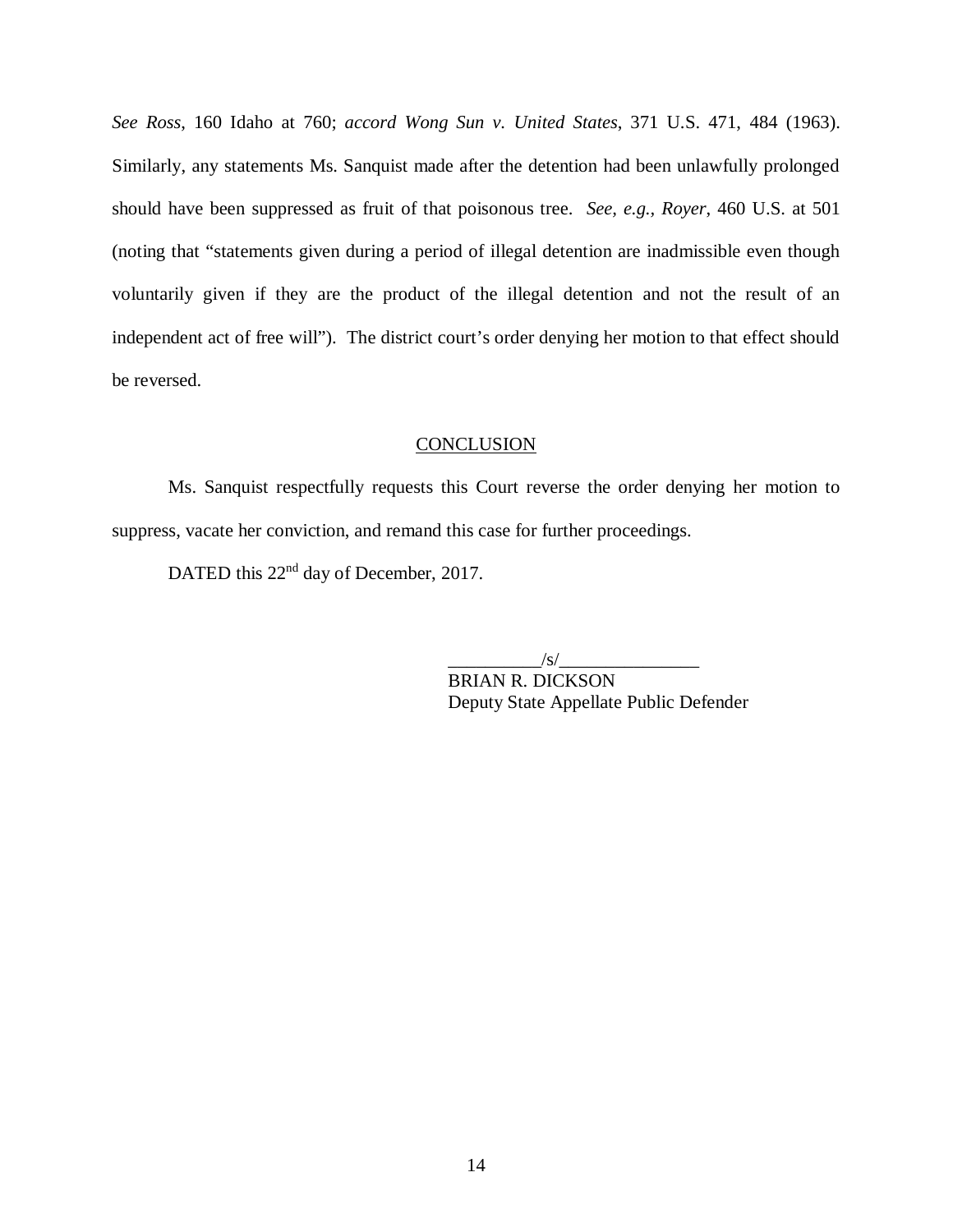*See Ross*, 160 Idaho at 760; *accord Wong Sun v. United States*, 371 U.S. 471, 484 (1963). Similarly, any statements Ms. Sanquist made after the detention had been unlawfully prolonged should have been suppressed as fruit of that poisonous tree. *See, e.g., Royer*, 460 U.S. at 501 (noting that "statements given during a period of illegal detention are inadmissible even though voluntarily given if they are the product of the illegal detention and not the result of an independent act of free will"). The district court's order denying her motion to that effect should be reversed.

#### **CONCLUSION**

Ms. Sanquist respectfully requests this Court reverse the order denying her motion to suppress, vacate her conviction, and remand this case for further proceedings.

DATED this 22<sup>nd</sup> day of December, 2017.

\_\_\_\_\_\_\_\_\_\_/s/\_\_\_\_\_\_\_\_\_\_\_\_\_\_\_

BRIAN R. DICKSON Deputy State Appellate Public Defender